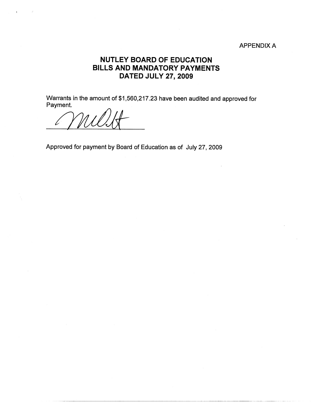## APPENDIX A

## **NUTLEY BOARD OF EDUCATION BILLS AND MANDATORY PAYMENTS DATED JULY 27, 2009**

Warrants in the amount of \$1,560,217.23 have been audited and approved for Payment.

Approved for payment by Board of Education as of July 27, 2009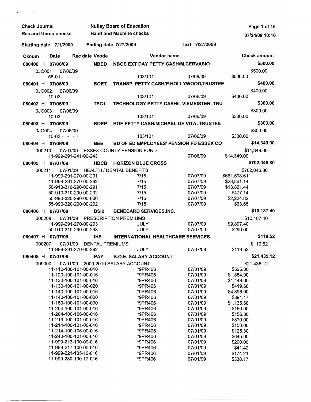| <b>Check Journal</b>        |               |                                                | <b>Nutley Board of Education</b> |                                                | Page 1 of 15           |
|-----------------------------|---------------|------------------------------------------------|----------------------------------|------------------------------------------------|------------------------|
| <b>Rec and Unrec checks</b> |               |                                                | <b>Hand and Machine checks</b>   |                                                | 07/24/09 10:16         |
| Starting date 7/1/2009      |               |                                                | <b>Ending date 7/27/2009</b>     | Text 7/27/2009                                 |                        |
| Cknum                       | Date          | <b>Rec date Vcode</b>                          |                                  | Vendor name                                    | <b>Check amount</b>    |
| 080400 H 07/06/09           |               | <b>NBED</b>                                    |                                  | NBOE EXT DAY PETTY CASH/M.CERVASIO             | \$500.00               |
| 0JO001                      | 07/06/09      |                                                |                                  |                                                | \$500.00               |
|                             | $55-01 -$     | $\sim$ $ \sim$                                 | 103/101                          | 07/06/09                                       | \$500.00               |
| 080401 H 07/06/09           |               | <b>BOET</b>                                    |                                  | TRANSP. PETTY CASH/P.HOLLYWOOD,TRUSTEE         | \$400.00               |
| 0JO002                      | 07/06/09      |                                                |                                  |                                                | \$400.00               |
|                             | $10-03 - - -$ |                                                | 103/101                          | 07/06/09                                       | \$400.00               |
| 080402 H 07/06/09           |               | TPC1                                           |                                  | TECHNOLOGY PETTY CASH/I. VIEMEISTER, TRU       | \$300.00               |
| 0JO003                      | 07/06/09      |                                                |                                  |                                                | \$300.00               |
|                             | $10 - 03 -$   | $\sim$ $\sim$ $\sim$                           | 103/101                          | 07/06/09                                       | \$300.00               |
| 080403 H 07/06/09           |               | <b>BOEP</b>                                    |                                  | <b>BOE PETTY CASH/MICHAEL DE VITA, TRUSTEE</b> | \$300.00               |
| 0JO004                      | 07/06/09      |                                                |                                  |                                                | \$300.00               |
|                             | $10-03 - - -$ |                                                | 103/101                          | 07/06/09                                       | \$300.00               |
| 080404 H 07/06/09           |               | <b>BEE</b>                                     |                                  | BD OF ED EMPLOYEES' PENSION FD ESSEX CO        | \$14,349.00            |
| 000210                      | 07/01/09      |                                                | <b>ESSEX COUNTY PENSION FUND</b> |                                                | \$14,349.00            |
|                             |               | 11-999-291-241-00-243                          |                                  | 07/06/09                                       | \$14,349.00            |
| 080405 H 07/07/09           |               | <b>HBCB</b>                                    | <b>HORIZON BLUE CROSS</b>        |                                                | \$702,046.80           |
| 000211                      | 07/01/09      |                                                | <b>HEALTH / DENTAL BENEFITS</b>  |                                                | \$702,046.80           |
|                             |               | 11-999-291-270-00-291                          | 7/15                             | 07/07/09                                       | \$661,598.61           |
|                             |               | 11-999-291-270-00-292                          | 7/15                             | 07/07/09                                       | \$23,861.14            |
|                             |               | 50-910-310-290-00-291                          | 7/15                             | 07/07/09                                       | \$13,821.44            |
|                             |               | 50-910-310-290-00-292                          | 7/15                             | 07/07/09                                       | \$477.14               |
|                             |               | 55-990-320-290-00-000                          | 7/15                             | 07/07/09                                       | \$2,224.82             |
|                             |               | 55-990-320-290-00-292                          | 7/15                             | 07/07/09                                       | \$63.65                |
| 080406 H 07/07/09           |               | <b>BSI2</b>                                    | <b>BENECARD SERVICES, INC.</b>   |                                                | \$10,187.40            |
| 000208                      | 07/01/09      |                                                | <b>PRESCRIPTION PREMIUMS</b>     |                                                | \$10,187.40            |
|                             |               | 11-999-291-270-00-293                          | <b>JULY</b>                      | 07/07/09                                       | \$9,897.40             |
|                             |               | 50-910-310-290-00-293                          | <b>JULY</b>                      | 07/07/09                                       | \$290.00               |
| 080407 H                    | 07/07/09      | <b>IHS</b>                                     |                                  | <b>INTERNATIONAL HEALTHCARE SERVICES</b>       | \$119.52               |
| 000207                      |               | 07/01/09 DENTAL PREMIUMS                       |                                  |                                                | \$119.52               |
|                             |               | 11-999-291-270-00-292                          | <b>JULY</b>                      | 07/07/09                                       | \$119.52               |
| 080408 H                    | 07/01/09      | <b>PAY</b>                                     | <b>B.O.E. SALARY ACCOUNT</b>     |                                                | \$21,435.12            |
| 009000                      | 07/01/09      |                                                | 2009-2010 SALARY ACCOUNT         |                                                | \$21,435.12            |
|                             |               | 11-110-100-101-00-016                          | *9PR406                          | 07/01/09                                       | \$525.00               |
|                             |               | 11-120-100-101-00-016                          | *9PR406                          | 07/01/09                                       | \$1,854.00             |
|                             |               | 11-130-100-101-00-016                          | *9PR406                          | 07/01/09                                       | \$1,443.00             |
|                             |               | 11-130-100-101-00-020                          | *9PR406                          | 07/01/09                                       | \$419.68               |
|                             |               | 11-140-100-101-00-016                          | *9PR406                          | 07/01/09                                       | \$4,396.00             |
|                             |               | 11-140-100-101-00-020                          | *9PR406                          | 07/01/09                                       | \$394.17               |
|                             |               | 11-150-100-101-00-000<br>11-204-100-101-00-016 | *9PR406<br>*9PR406               | 07/01/09<br>07/01/09                           | \$1,135.68<br>\$150.00 |
|                             |               | 11-204-100-106-00-016                          | *9PR406                          | 07/01/09                                       | \$156.30               |
|                             |               | 11-213-100-101-00-016                          | *9PR406                          | 07/01/09                                       | \$870.00               |
|                             |               | 11-214-100-101-00-016                          | *9PR406                          | 07/01/09                                       | \$150.00               |
|                             |               | 11-214-100-106-00-016                          | *9PR406                          | 07/01/09                                       | \$125.30               |
|                             |               | 11-240-100-101-00-016                          | *9PR406                          | 07/01/09                                       | \$645.00               |
|                             |               | 11-999-213-100-00-016                          | *9PR406                          | 07/01/09                                       | \$200.00               |
|                             |               | 11-999-217-100-00-016                          | *9PR406                          | 07/01/09                                       | \$41.42                |
|                             |               | 11-999-221-105-10-016                          | *9PR406                          | 07/01/09                                       | \$174.21               |
|                             |               | 11-999-230-100-17-016                          | *9PR406                          | 07/01/09                                       | \$338.17               |

 $\sim 10^{-10}$ 

 $\mathcal{A}^{\mathcal{A}}$ 

 $\mathcal{A}$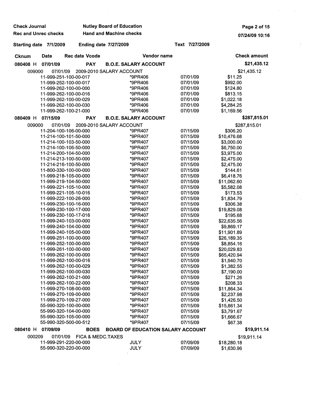| <b>Check Journal</b>        |             |                                                | <b>Nutley Board of Education</b>         | Page 2 of 15         |                          |
|-----------------------------|-------------|------------------------------------------------|------------------------------------------|----------------------|--------------------------|
| <b>Rec and Unrec checks</b> |             |                                                | <b>Hand and Machine checks</b>           |                      | 07/24/09 10:16           |
| Starting date 7/1/2009      |             |                                                | <b>Ending date 7/27/2009</b>             | Text 7/27/2009       |                          |
| <b>Cknum</b>                | <b>Date</b> | <b>Rec date Vcode</b>                          | Vendor name                              |                      | <b>Check amount</b>      |
| 080408 H                    | 07/01/09    | <b>PAY</b>                                     | <b>B.O.E. SALARY ACCOUNT</b>             |                      | \$21,435.12              |
| 009000                      | 07/01/09    |                                                | 2009-2010 SALARY ACCOUNT                 |                      | \$21,435.12              |
|                             |             | 11-999-251-100-00-017                          | *9PR406                                  | 07/01/09             | \$11.25                  |
|                             |             | 11-999-252-100-00-017                          | *9PR406                                  | 07/01/09             | \$992.00                 |
|                             |             | 11-999-262-100-00-000                          | *9PR406                                  | 07/01/09             | \$124.80                 |
|                             |             | 11-999-262-100-00-016                          | *9PR406                                  | 07/01/09             | \$813.15                 |
|                             |             | 11-999-262-100-00-029                          | *9PR406                                  | 07/01/09             | \$1,022.18               |
|                             |             | 11-999-262-100-00-030                          | *9PR406                                  | 07/01/09             | \$4,284.25               |
|                             |             | 11-999-262-100-21-000                          | *9PR406                                  | 07/01/09             | \$1,169.56               |
| 080409 H                    | 07/15/09    | <b>PAY</b>                                     | <b>B.O.E. SALARY ACCOUNT</b>             |                      | \$287,815.01             |
| 009000                      | 07/01/09    |                                                | 2009-2010 SALARY ACCOUNT                 |                      | \$287,815.01             |
|                             |             | 11-204-100-106-00-000                          | *9PR407                                  | 07/15/09             | \$306.20                 |
|                             |             | 11-214-100-101-50-000                          | *9PR407                                  | 07/15/09             | \$10,476.68              |
|                             |             | 11-214-100-103-50-000                          | *9PR407                                  | 07/15/09             | \$3,000.00               |
|                             |             | 11-214-100-106-50-000                          | *9PR407                                  | 07/15/09<br>07/15/09 | \$6,750.00               |
|                             |             | 11-214-200-104-50-000<br>11-214-213-100-50-000 | *9PR407<br>*9PR407                       | 07/15/09             | \$3,975.00<br>\$2,475.00 |
|                             |             | 11-214-216-100-50-000                          | *9PR407                                  | 07/15/09             | \$2,475.00               |
|                             |             | 11-800-330-100-00-000                          | *9PR407                                  | 07/15/09             | \$144.61                 |
|                             |             | 11-999-218-105-00-000                          | *9PR407                                  | 07/15/09             | \$6,418.76               |
|                             |             | 11-999-219-104-50-000                          | *9PR407                                  | 07/15/09             | \$11,062.60              |
|                             |             | 11-999-221-105-10-000                          | *9PR407                                  | 07/15/09             | \$5,582.08               |
|                             |             | 11-999-221-105-10-016                          | *9PR407                                  | 07/15/09             | \$173.53                 |
|                             |             | 11-999-222-100-26-000                          | *9PR407                                  | 07/15/09             | \$1,834.79               |
|                             |             | 11-999-230-100-16-000                          | *9PR407                                  | 07/15/09             | \$306.38                 |
|                             |             | 11-999-230-100-17-000                          | *9PR407                                  | 07/15/09             | \$19,829.08              |
|                             |             | 11-999-230-100-17-016                          | *9PR407                                  | 07/15/09             | \$195.68                 |
|                             |             | 11-999-240-103-00-000                          | *9PR407                                  | 07/15/09             | \$22,635.56              |
|                             |             | 11-999-240-104-00-000                          | *9PR407                                  | 07/15/09             | \$9,869.17               |
|                             |             | 11-999-240-105-00-000                          | *9PR407                                  | 07/15/09             | \$11,901.89              |
|                             |             | 11-999-251-100-00-000                          | *9PR407                                  | 07/15/09             | \$26,189.35              |
|                             |             | 11-999-252-100-00-000                          | *9PR407                                  | 07/15/09             | \$8,854.16               |
|                             |             | 11-999-261-100-00-000                          | *9PR407                                  | 07/15/09             | \$20,029.83              |
|                             |             | 11-999-262-100-00-000                          | *9PR407                                  | 07/15/09             | \$65,420.94              |
|                             |             | 11-999-262-100-00-016                          | *9PR407                                  | 07/15/09             | \$1,940.70               |
|                             |             | 11-999-262-100-00-029                          | *9PR407                                  | 07/15/09             | \$1,382.55               |
|                             |             | 11-999-262-100-00-030<br>11-999-262-100-21-000 | *9PR407<br>*9PR407                       | 07/15/09<br>07/15/09 | \$7,190.00<br>\$271.26   |
|                             |             | 11-999-262-100-22-000                          | *9PR407                                  | 07/15/09             | \$208.33                 |
|                             |             | 11-999-270-108-00-000                          | *9PR407                                  | 07/15/09             | \$11,864.34              |
|                             |             | 11-999-270-109-00-000                          | *9PR407                                  | 07/15/09             | \$2,237.98               |
|                             |             | 11-999-270-109-27-000                          | *9PR407                                  | 07/15/09             | \$1,426.50               |
|                             |             | 55-990-320-100-00-000                          | *9PR407                                  | 07/15/09             | \$15,861.34              |
|                             |             | 55-990-320-104-00-000                          | *9PR407                                  | 07/15/09             | \$3,791.67               |
|                             |             | 55-990-320-105-00-000                          | *9PR407                                  | 07/15/09             | \$1,666.67               |
|                             |             | 55-990-320-500-00-512                          | *9PR407                                  | 07/15/09             | \$67.38                  |
| 080410 H                    | 07/09/09    | <b>BOES</b>                                    | <b>BOARD OF EDUCATION SALARY ACCOUNT</b> |                      | \$19,911.14              |
| 000209                      | 07/01/09    | FICA & MEDC.TAXES                              |                                          |                      | \$19,911.14              |
|                             |             | 11-999-291-220-00-000                          | <b>JULY</b>                              | 07/09/09             | \$18,280.18              |
|                             |             | 55-990-320-220-00-000                          | <b>JULY</b>                              | 07/09/09             | \$1,630.96               |
|                             |             |                                                |                                          |                      |                          |

 $\hat{p}$  ,  $\hat{p}$  ,  $\hat{p}$ 

D).<br>D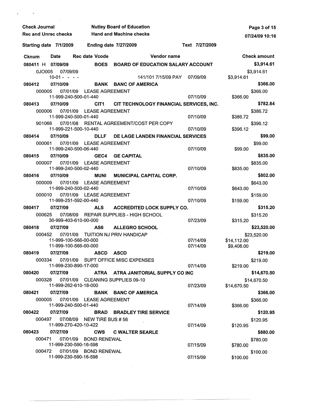| <b>Check Journal</b><br><b>Rec and Unrec checks</b> |                                   |                              | <b>Nutley Board of Education</b><br><b>Hand and Machine checks</b> |                |             | Page 3 of 15<br>07/24/09 10:16 |
|-----------------------------------------------------|-----------------------------------|------------------------------|--------------------------------------------------------------------|----------------|-------------|--------------------------------|
| Starting date 7/1/2009                              |                                   | <b>Ending date 7/27/2009</b> |                                                                    | Text 7/27/2009 |             |                                |
| <b>Cknum</b>                                        | Date                              | <b>Rec date Vcode</b>        | Vendor name                                                        |                |             | <b>Check amount</b>            |
| 080411 H 07/09/09                                   |                                   |                              | BOES BOARD OF EDUCATION SALARY ACCOUNT                             |                |             | \$3,914.61                     |
| 0JO005                                              | 07/09/09                          |                              |                                                                    |                |             | \$3,914.61                     |
|                                                     | $10-01 - - -$                     |                              | 141/101 7/15/09 PAY                                                | 07/09/09       | \$3,914.61  |                                |
| 080412<br>000005                                    | 07/10/09<br>07/01/09              | <b>LEASE AGREEMENT</b>       | <b>BANK BANC OF AMERICA</b>                                        |                |             | \$366.00<br>\$366.00           |
|                                                     | 11-999-240-500-01-440             |                              |                                                                    | 07/10/09       | \$366.00    |                                |
| 080413                                              | 07/10/09                          | CIT <sub>1</sub>             | CIT TECHNOLOGY FINANCIAL SERVICES, INC.                            |                |             | \$782.84                       |
| 000006                                              | 07/01/09                          | <b>LEASE AGREEMENT</b>       |                                                                    |                |             | \$386.72                       |
|                                                     | 11-999-240-500-01-440             |                              |                                                                    | 07/10/09       | \$386.72    |                                |
| 901066                                              | 07/01/08<br>11-999-221-500-10-440 |                              | RENTAL AGREEMENT/COST PER COPY                                     | 07/10/09       | \$396.12    | \$396.12                       |
| 080414                                              | 07/10/09                          | <b>DLLF</b>                  | DE LAGE LANDEN FINANCIAL SERVICES                                  |                |             | \$99.00                        |
| 000061                                              | 07/01/09                          | <b>LEASE AGREEMENT</b>       |                                                                    |                |             | \$99.00                        |
|                                                     | 11-999-240-500-06-440             |                              |                                                                    | 07/10/09       | \$99.00     |                                |
| 080415                                              | 07/10/09                          | GEC4                         | <b>GE CAPITAL</b>                                                  |                |             | \$835.00                       |
| 000007                                              | 07/01/09                          | <b>LEASE AGREEMENT</b>       |                                                                    |                |             | \$835.00                       |
|                                                     | 11-999-240-500-02-440             |                              |                                                                    | 07/10/09       | \$835.00    |                                |
| 080416                                              | 07/10/09                          | MUNI                         | <b>MUNICIPAL CAPITAL CORP.</b>                                     |                |             | \$802.00                       |
| 000009                                              | 07/01/09<br>11-999-240-500-02-440 | <b>LEASE AGREEMENT</b>       |                                                                    | 07/10/09       | \$643.00    | \$643.00                       |
| 000010                                              | 07/01/09                          | LEASE AGREEMENT              |                                                                    |                |             | \$159.00                       |
|                                                     | 11-999-251-592-00-440             |                              |                                                                    | 07/10/09       | \$159.00    |                                |
| 080417                                              | 07/27/09                          | ALS                          | <b>ACCREDITED LOCK SUPPLY CO.</b>                                  |                |             | \$315.20                       |
| 000625                                              | 07/08/09<br>30-999-403-610-00-000 |                              | REPAIR SUPPLIES - HIGH SCHOOL                                      |                |             | \$315.20                       |
| 080418                                              | 07/27/09                          | AS6                          | <b>ALLEGRO SCHOOL</b>                                              | 07/23/09       | \$315.20    | \$23,520.00                    |
| 000452                                              |                                   |                              | 07/01/09 TUITION NJ PRIV HANDICAP                                  |                | \$23,520.00 |                                |
|                                                     | 11-999-100-566-00-000             |                              |                                                                    | 07/14/09       | \$14,112.00 |                                |
|                                                     | 11-999-100-566-00-000             |                              |                                                                    | 07/14/09       | \$9,408.00  |                                |
| 080419                                              | 07/27/09                          | ASCD ASCD                    |                                                                    |                |             | \$219.00                       |
|                                                     | 11-999-230-890-17-000             |                              | 000334 07/01/09 SUPT OFFICE MISC EXPENSES                          | 07/14/09       |             | \$219.00                       |
| 080420                                              | 07/27/09                          |                              | ATRA ATRA JANITORIAL SUPPLY CO INC                                 |                | \$219.00    | \$14,670.50                    |
| 000328                                              |                                   |                              | 07/01/09 CLEANING SUPPLIES 09-10                                   |                | \$14,670.50 |                                |
|                                                     | 11-999-262-610-18-000             |                              |                                                                    | 07/23/09       | \$14,670.50 |                                |
| 080421                                              | 07/27/09                          |                              | BANK BANC OF AMERICA                                               |                |             | \$366.00                       |
|                                                     | 000005 07/01/09 LEASE AGREEMENT   |                              |                                                                    |                |             | \$366.00                       |
|                                                     | 11-999-240-500-01-440             |                              |                                                                    | 07/14/09       | \$366.00    |                                |
| 080422 07/27/09                                     |                                   |                              | <b>BRAD BRADLEY TIRE SERVICE</b>                                   |                |             | \$120.95                       |
| 000497                                              | 11-999-270-420-10-422             | 07/08/09 NEW TIRE BUS #56    |                                                                    | 07/14/09       | \$120.95    | \$120.95                       |
| 080423                                              | 07/27/09                          |                              | <b>CWS C WALTER SEARLE</b>                                         |                |             | \$880.00                       |
| 000471                                              |                                   | 07/01/09 BOND RENEWAL        |                                                                    |                |             | \$780.00                       |
|                                                     | 11-999-230-590-16-598             |                              |                                                                    | 07/15/09       | \$780,00    |                                |
| 000472                                              |                                   | 07/01/09 BOND RENEWAL        |                                                                    |                |             | \$100.00                       |
|                                                     | 11-999-230-590-16-598             |                              |                                                                    | 07/15/09       | \$100.00    |                                |

 $\hat{\mathbf{r}}$ 

 $\hat{\mathbf{r}}$ 

-------~---- ~~~~ ~-~-----------

 $\hat{p}$  and  $\hat{p}$  and  $\hat{p}$ 

 $\sim 10^{-10}$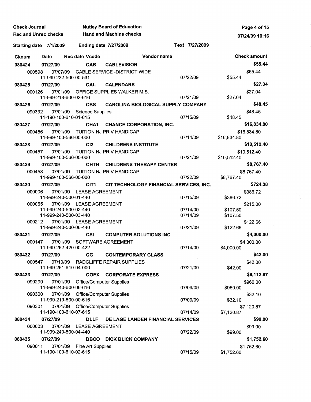| <b>Check Journal</b>        |                                   |                                   | <b>Nutley Board of Education</b>                       |             | Page 4 of 15                            |             |                     |
|-----------------------------|-----------------------------------|-----------------------------------|--------------------------------------------------------|-------------|-----------------------------------------|-------------|---------------------|
| <b>Rec and Unrec checks</b> |                                   |                                   | <b>Hand and Machine checks</b>                         |             | 07/24/09 10:16                          |             |                     |
| Starting date 7/1/2009      |                                   | <b>Ending date 7/27/2009</b>      |                                                        |             | Text 7/27/2009                          |             |                     |
| <b>Cknum</b>                | <b>Date</b>                       | <b>Rec date Vcode</b>             |                                                        | Vendor name |                                         |             | <b>Check amount</b> |
| 080424                      | 07/27/09                          | <b>CAB</b>                        | <b>CABLEVISION</b>                                     |             |                                         |             | \$55.44             |
| 000598                      |                                   |                                   | 07/07/09 CABLE SERVICE -DISTRICT WIDE                  |             |                                         |             | \$55.44             |
|                             | 11-999-222-500-00-531             |                                   |                                                        |             | 07/22/09                                | \$55.44     |                     |
| 080425                      | 07/27/09                          | <b>CAL</b>                        | <b>CALENDARS</b>                                       |             |                                         |             | \$27.04             |
| 000126                      | 07/01/09                          |                                   | OFFICE SUPPLIES WALKER M.S.                            |             |                                         |             | \$27.04             |
|                             | 11-999-218-600-02-616             |                                   |                                                        |             | 07/21/09                                | \$27.04     |                     |
| 080426                      | 07/27/09                          | <b>CBS</b>                        | <b>CAROLINA BIOLOGICAL SUPPLY COMPANY</b>              |             |                                         |             | \$48.45             |
| 090332                      | 11-190-100-610-01-615             | 07/01/09 Science Supplies         |                                                        |             | 07/15/09                                | \$48.45     | \$48.45             |
| 080427                      | 07/27/09                          | CHA <sub>1</sub>                  | <b>CHANCE CORPORATION, INC.</b>                        |             |                                         |             | \$16,834.80         |
| 000456                      |                                   |                                   | 07/01/09 TUITION NJ PRIV HANDICAP                      |             |                                         |             | \$16,834.80         |
|                             | 11-999-100-566-00-000             |                                   |                                                        |             | 07/14/09                                | \$16,834.80 |                     |
| 080428                      | 07/27/09                          | C <sub>12</sub>                   | <b>CHILDRENS INSTITUTE</b>                             |             |                                         |             | \$10,512.40         |
| 000457                      | 07/01/09                          |                                   | TUITION NJ PRIV HANDICAP                               |             |                                         |             | \$10,512.40         |
|                             | 11-999-100-566-00-000             |                                   |                                                        |             | 07/21/09                                | \$10,512.40 |                     |
| 080429                      | 07/27/09                          | <b>CHTH</b>                       | <b>CHILDRENS THERAPY CENTER</b>                        |             |                                         |             | \$8,767.40          |
| 000458                      | 07/01/09                          |                                   | TUITION NJ PRIV HANDICAP                               |             |                                         |             | \$8,767.40          |
|                             | 11-999-100-566-00-000             |                                   |                                                        |             | 07/22/09                                | \$8,767.40  |                     |
| 080430                      | 07/27/09                          | CIT <sub>1</sub>                  |                                                        |             | CIT TECHNOLOGY FINANCIAL SERVICES, INC. |             | \$724.38            |
| 000006                      | 07/01/09                          | <b>LEASE AGREEMENT</b>            |                                                        |             |                                         |             | \$386.72            |
| 000065                      | 11-999-240-500-01-440<br>07/01/09 | <b>LEASE AGREEMENT</b>            |                                                        |             | 07/15/09                                | \$386.72    |                     |
|                             | 11-999-240-500-02-440             |                                   |                                                        |             | 07/14/09                                | \$107.50    | \$215.00            |
|                             | 11-999-240-500-03-440             |                                   |                                                        |             | 07/14/09                                | \$107.50    |                     |
| 000212                      |                                   | 07/01/09 LEASE AGREEMENT          |                                                        |             |                                         |             | \$122.66            |
|                             | 11-999-240-500-06-440             |                                   |                                                        |             | 07/21/09                                | \$122.66    |                     |
| 080431                      | 07/27/09                          | <b>CSI</b>                        | <b>COMPUTER SOLUTIONS INC</b>                          |             |                                         |             | \$4,000.00          |
| 000147                      |                                   | 07/01/09 SOFTWARE AGREEMENT       |                                                        |             | 07/14/09                                |             | \$4,000.00          |
| 080432                      | 11-999-262-420-00-422             |                                   |                                                        |             |                                         | \$4,000.00  | \$42.00             |
| 000547                      | 07/27/09<br>07/10/09              | CG                                | <b>CONTEMPORARY GLASS</b><br>RADCLIFFE REPAIR SUPPLIES |             |                                         |             |                     |
|                             | 11-999-261-610-04-000             |                                   |                                                        |             | 07/21/09                                | \$42.00     | \$42.00             |
| 080433                      | 07/27/09                          |                                   | <b>COEX CORPORATE EXPRESS</b>                          |             |                                         |             | \$8,112.97          |
| 090299                      |                                   | 07/01/09 Office/Computer Supplies |                                                        |             |                                         |             | \$960.00            |
|                             | 11-999-240-600-06-616             |                                   |                                                        |             | 07/09/09                                | \$960.00    |                     |
| 090300                      |                                   | 07/01/09 Office/Computer Supplies |                                                        |             |                                         |             | \$32.10             |
|                             | 11-999-219-600-00-616             |                                   |                                                        |             | 07/09/09                                | \$32.10     |                     |
| 090301                      | 11-190-100-610-07-615             | 07/01/09 Office/Computer Supplies |                                                        |             | 07/14/09                                | \$7,120.87  | \$7,120.87          |
| 080434                      | 07/27/09                          | <b>DLLF</b>                       | DE LAGE LANDEN FINANCIAL SERVICES                      |             |                                         |             | \$99.00             |
| 000603                      | 07/01/09                          | <b>LEASE AGREEMENT</b>            |                                                        |             |                                         |             | \$99.00             |
|                             | 11-999-240-500-04-440             |                                   |                                                        |             | 07/22/09                                | \$99.00     |                     |
| 080435                      | 07/27/09                          | <b>DBCO</b>                       | <b>DICK BLICK COMPANY</b>                              |             |                                         |             | \$1,752.60          |
| 090011                      |                                   | 07/01/09 Fine Art Supplies        |                                                        |             |                                         |             | \$1,752.60          |
|                             | 11-190-100-610-02-615             |                                   |                                                        |             | 07/15/09                                | \$1,752.60  |                     |

 $\mathbb{Z}^2$ 

 $\lambda_{\rm{max}}$  ,  $\lambda_{\rm{max}}$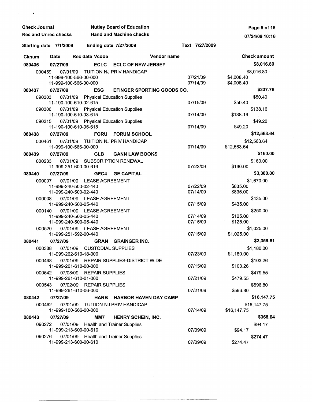| <b>Check Journal</b>        |                                                |                                      | <b>Nutley Board of Education</b>       | Page 5 of 15               |                          |
|-----------------------------|------------------------------------------------|--------------------------------------|----------------------------------------|----------------------------|--------------------------|
| <b>Rec and Unrec checks</b> |                                                |                                      | <b>Hand and Machine checks</b>         |                            | 07/24/09 10:16           |
| Starting date 7/1/2009      |                                                | <b>Ending date 7/27/2009</b>         |                                        | Text 7/27/2009             |                          |
| <b>Cknum</b>                | Date                                           | Rec date Vcode                       |                                        | Vendor name                | <b>Check amount</b>      |
| 080436                      | 07/27/09                                       | <b>ECLC</b>                          | <b>ECLC OF NEW JERSEY</b>              |                            | \$8,016.80               |
| 000459                      | 07/01/09                                       |                                      | TUITION NJ PRIV HANDICAP               |                            | \$8,016.80               |
|                             | 11-999-100-566-00-000<br>11-999-100-566-00-000 |                                      |                                        | 07/21/09<br>07/14/09       | \$4,008.40<br>\$4,008.40 |
| 080437                      | 07/27/09                                       | <b>ESG</b>                           |                                        | EFINGER SPORTING GOODS CO. | \$237.76                 |
| 090303                      | 11-190-100-610-02-615                          | 07/01/09 Physical Education Supplies |                                        | 07/15/09                   | \$50.40<br>\$50.40       |
| 090306                      | 11-190-100-610-03-615                          | 07/01/09 Physical Education Supplies |                                        | 07/14/09                   | \$138.16<br>\$138.16     |
| 090315                      |                                                | 07/01/09 Physical Education Supplies |                                        |                            | \$49.20                  |
|                             | 11-190-100-610-05-615                          |                                      |                                        | 07/14/09                   | \$49.20                  |
| 080438                      | 07/27/09                                       | <b>FORU</b>                          | <b>FORUM SCHOOL</b>                    |                            | \$12,563.64              |
| 000461                      | 07/01/09                                       |                                      | TUITION NJ PRIV HANDICAP               |                            | \$12,563.64              |
|                             | 11-999-100-566-00-000                          |                                      |                                        | 07/14/09                   | \$12,563.64              |
| 080439                      | 07/27/09                                       | <b>GLB</b>                           | <b>GANN LAW BOOKS</b>                  |                            | \$160.00                 |
| 000233                      | 07/01/09                                       |                                      | <b>SUBSCRIPTION RENEWAL</b>            |                            | \$160.00                 |
|                             | 11-999-251-600-00-616                          |                                      |                                        | 07/23/09                   | \$160.00                 |
| 080440                      | 07/27/09                                       | GEC4                                 | <b>GE CAPITAL</b>                      |                            | \$3,380.00               |
| 000007                      |                                                | 07/01/09 LEASE AGREEMENT             |                                        |                            | \$1,670.00               |
|                             | 11-999-240-500-02-440                          |                                      |                                        | 07/22/09                   | \$835.00                 |
|                             | 11-999-240-500-02-440                          |                                      |                                        | 07/14/09                   | \$835.00                 |
| 000008                      | 11-999-240-500-05-440                          | 07/01/09 LEASE AGREEMENT             |                                        | 07/15/09                   | \$435.00<br>\$435.00     |
| 000140                      |                                                | 07/01/09 LEASE AGREEMENT             |                                        |                            | \$250.00                 |
|                             | 11-999-240-500-05-440                          |                                      |                                        | 07/14/09                   | \$125.00                 |
|                             | 11-999-240-500-05-440                          |                                      |                                        | 07/15/09                   | \$125.00                 |
| 000520                      | 07/01/09                                       | <b>LEASE AGREEMENT</b>               |                                        |                            | \$1,025.00               |
|                             | 11-999-251-592-00-440                          |                                      |                                        | 07/15/09                   | \$1,025.00               |
| 080441                      | 07/27/09                                       | <b>GRAN</b>                          | <b>GRAINGER INC.</b>                   |                            | \$2,359.61               |
| 000338                      | 07/01/09                                       | <b>CUSTODIAL SUPPLIES</b>            |                                        |                            | \$1,180.00               |
|                             | 11-999-262-610-18-000                          |                                      |                                        | 07/23/09                   | \$1,180.00               |
| 000498                      | 11-999-261-610-00-000                          |                                      | 07/01/09 REPAIR SUPPLIES-DISTRICT WIDE | 07/15/09                   | \$103.26<br>\$103.26     |
| 000542                      |                                                | 07/08/09 REPAIR SUPPLIES             |                                        |                            | \$479.55                 |
|                             | 11-999-261-610-01-000                          |                                      |                                        | 07/21/09                   | \$479.55                 |
| 000543                      |                                                | 07/02/09 REPAIR SUPPLIES             |                                        |                            | \$596.80                 |
|                             | 11-999-261-610-06-000                          |                                      |                                        | 07/21/09                   | \$596.80                 |
| 080442                      | 07/27/09                                       | <b>HARB</b>                          | <b>HARBOR HAVEN DAY CAMP</b>           |                            | \$16,147.75              |
| 000462                      | 07/01/09                                       |                                      | TUITION NJ PRIV HANDICAP               |                            | \$16,147.75              |
|                             | 11-999-100-566-00-000                          |                                      |                                        | 07/14/09                   | \$16,147.75              |
| 080443                      | 07/27/09                                       | MM7                                  | HENRY SCHEIN, INC.                     |                            | \$368.64                 |
| 090272                      | 07/01/09                                       | <b>Health and Trainer Supplies</b>   |                                        |                            | \$94.17                  |
|                             | 11-999-213-600-00-610                          |                                      |                                        | 07/09/09                   | \$94.17                  |
| 090276                      |                                                | 07/01/09 Health and Trainer Supplies |                                        |                            | \$274.47                 |
|                             | 11-999-213-600-00-610                          |                                      |                                        | 07/09/09                   | \$274.47                 |

 $\mathcal{L}^{(1)}$  .

 $\sim 10^6$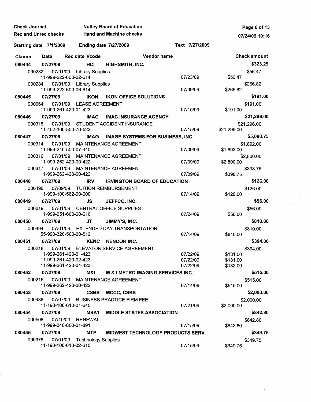| <b>Check Journal</b> |                                                |                            | <b>Nutley Board of Education</b>        | Page 6 of 15                                 |                      |                      |                     |
|----------------------|------------------------------------------------|----------------------------|-----------------------------------------|----------------------------------------------|----------------------|----------------------|---------------------|
|                      | <b>Rec and Unrec checks</b>                    |                            | <b>Hand and Machine checks</b>          |                                              |                      |                      | 07/24/09 10:16      |
|                      | Starting date 7/1/2009                         |                            | <b>Ending date 7/27/2009</b>            |                                              | Text 7/27/2009       |                      |                     |
| <b>Cknum</b>         | Date                                           | <b>Rec date Vcode</b>      |                                         | Vendor name                                  |                      |                      | <b>Check amount</b> |
| 080444               | 07/27/09                                       | HCI                        | HIGHSMITH, INC.                         |                                              |                      |                      | \$323.29            |
| 090282               | 07/01/09                                       | <b>Library Supplies</b>    |                                         |                                              |                      |                      | \$56.47             |
|                      | 11-999-222-600-02-614                          |                            |                                         |                                              | 07/23/09             | \$56.47              |                     |
| 090284               | 07/01/09<br>11-999-222-600-06-614              | <b>Library Supplies</b>    |                                         |                                              | 07/09/09             | \$266.82             | \$266.82            |
| 080445               | 07/27/09                                       | <b>IKON</b>                | <b>IKON OFFICE SOLUTIONS</b>            |                                              |                      |                      | \$191.00            |
| 000064               | 07/01/09<br>11-999-261-420-01-423              | <b>LEASE AGREEMENT</b>     |                                         |                                              | 07/15/09             | \$191.00             | \$191.00            |
| 080446               | 07/27/09                                       | <b>IMAC</b>                | <b>IMAC INSURANCE AGENCY</b>            |                                              |                      |                      | \$21,296.00         |
| 000315               | 07/01/09                                       |                            | <b>STUDENT ACCIDENT INSURANCE</b>       |                                              |                      |                      | \$21,296.00         |
|                      | 11-402-100-500-70-522                          |                            |                                         |                                              | 07/15/09             | \$21,296.00          |                     |
| 080447               | 07/27/09                                       | <b>IMAG</b>                | <b>IMAGE SYSTEMS FOR BUSINESS, INC.</b> |                                              |                      |                      | \$5,090.75          |
| 000314               | 07/01/09                                       |                            | <b>MAINTENANCE AGREEMENT</b>            |                                              |                      |                      | \$1,892.00          |
|                      | 11-999-240-500-07-440                          |                            |                                         |                                              | 07/09/09             | \$1,892.00           |                     |
| 000316               | 07/01/09<br>11-999-262-420-00-422              |                            | <b>MAINTENANCE AGREEMENT</b>            |                                              | 07/09/09             | \$2,800.00           | \$2,800.00          |
| 000317               | 07/01/09                                       |                            | <b>MAINTENANCE AGREEMENT</b>            |                                              |                      |                      | \$398.75            |
|                      | 11-999-262-420-00-422                          |                            |                                         |                                              | 07/09/09             | \$398.75             |                     |
| 080448               | 07/27/09                                       | <b>IRV</b>                 | <b>IRVINGTON BOARD OF EDUCATION</b>     |                                              |                      |                      | \$126.00            |
| 000496               | 07/09/09                                       |                            | <b>TUITION REIMBURSEMENT</b>            |                                              |                      |                      | \$126.00            |
|                      | 11-999-100-562-00-000                          |                            |                                         |                                              | 07/14/09             | \$126.00             |                     |
| 080449               | 07/27/09                                       | JS                         | JEFFCO, INC.                            |                                              |                      |                      | \$56.00             |
| 000019               | 07/01/09<br>11-999-251-600-00-616              |                            | <b>CENTRAL OFFICE SUPPLIES</b>          |                                              | 07/24/09             | \$56.00              | \$56.00             |
| 080450               | 07/27/09                                       | JT                         | JIMMY'S, INC.                           |                                              |                      |                      | \$810.00            |
| 000494               | 07/01/09                                       |                            | <b>EXTENDED DAY TRANSPORTATION</b>      |                                              |                      |                      | \$810.00            |
|                      | 55-990-320-500-00-512                          |                            |                                         |                                              | 07/14/09             | \$810.00             |                     |
| 080451               | 07/27/09                                       | <b>KENC</b>                | <b>KENCOR INC.</b>                      |                                              |                      |                      | \$394.00            |
| 000218               | 07/01/09                                       |                            | <b>ELEVATOR SERVICE AGREEMENT</b>       |                                              |                      |                      | \$394.00            |
|                      | 11-999-261-420-01-423<br>11-999-261-420-02-423 |                            |                                         |                                              | 07/22/09<br>07/22/09 | \$131.00<br>\$131.00 |                     |
|                      | 11-999-261-420-04-423                          |                            |                                         |                                              | 07/22/09             | \$132.00             |                     |
| 080452               | 07/27/09                                       | M&I                        |                                         | <b>M &amp; I METRO IMAGING SERVICES INC.</b> |                      |                      | \$515.00            |
| 000215               | 07/01/09                                       |                            | MAINTENANCE AGREEMENT                   |                                              |                      |                      | \$515.00            |
|                      | 11-999-262-420-00-422                          |                            |                                         |                                              | 07/14/09             | \$515.00             |                     |
| 080453               | 07/27/09                                       | <b>CSBS</b>                | MCCC, CSBS                              |                                              |                      |                      | \$2,000.00          |
| 000438               | 07/07/09<br>11-190-100-610-01-645              |                            | <b>BUSINESS PRACTICE FIRM FEE</b>       |                                              | 07/21/09             | \$2,000.00           | \$2,000.00          |
| 080454               | 07/27/09                                       | <b>MSA1</b>                |                                         | <b>MIDDLE STATES ASSOCIATION</b>             |                      |                      | \$842.80            |
| 000508               | 07/10/09                                       | <b>RENEWAL</b>             |                                         |                                              |                      |                      | \$842.80            |
|                      | 11-999-240-800-01-891                          |                            |                                         |                                              | 07/15/09             | \$842.80             |                     |
| 080455               | 07/27/09                                       | <b>MTP</b>                 |                                         | MIDWEST TECHNOLOGY PRODUCTS SERV.            |                      |                      | \$349.75            |
| 090378               | 07/01/09                                       | <b>Technology Supplies</b> |                                         |                                              |                      |                      | \$349.75            |
|                      | 11-190-100-610-02-615                          |                            |                                         |                                              | 07/15/09             | \$349.75             |                     |

 $\hat{\mathcal{A}}$ 

 $\frac{1}{\sqrt{2}}$ 

 $\label{eq:2} \frac{1}{\sqrt{2}}\sum_{i=1}^N\frac{1}{\sqrt{2}}\sum_{i=1}^N\frac{1}{\sqrt{2}}\sum_{i=1}^N\frac{1}{\sqrt{2}}\sum_{i=1}^N\frac{1}{\sqrt{2}}\sum_{i=1}^N\frac{1}{\sqrt{2}}\sum_{i=1}^N\frac{1}{\sqrt{2}}\sum_{i=1}^N\frac{1}{\sqrt{2}}\sum_{i=1}^N\frac{1}{\sqrt{2}}\sum_{i=1}^N\frac{1}{\sqrt{2}}\sum_{i=1}^N\frac{1}{\sqrt{2}}\sum_{i=1}^N\frac{1$ 

 $\mathcal{L}(\mathcal{A})$  .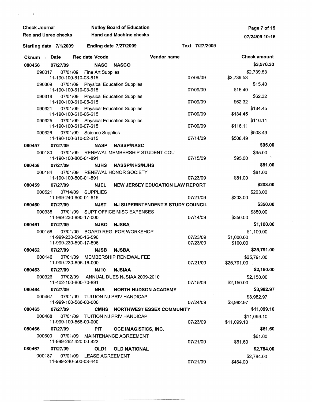| <b>Check Journal</b>        |                                                |                          | <b>Nutley Board of Education</b>               |                                        | Page 7 of 15         |                        |                     |
|-----------------------------|------------------------------------------------|--------------------------|------------------------------------------------|----------------------------------------|----------------------|------------------------|---------------------|
| <b>Rec and Unrec checks</b> |                                                |                          | <b>Hand and Machine checks</b>                 |                                        | 07/24/09 10:16       |                        |                     |
| Starting date 7/1/2009      |                                                |                          | <b>Ending date 7/27/2009</b>                   |                                        | Text 7/27/2009       |                        |                     |
| <b>Cknum</b>                | Date                                           | <b>Rec date Vcode</b>    |                                                | Vendor name                            |                      |                        | <b>Check amount</b> |
| 080456                      | 07/27/09                                       | <b>NASC</b>              | <b>NASCO</b>                                   |                                        |                      |                        | \$3,576.30          |
| 090017                      | 07/01/09                                       | <b>Fine Art Supplies</b> |                                                |                                        |                      |                        | \$2,739.53          |
|                             | 11-190-100-610-03-615                          |                          |                                                |                                        | 07/09/09             | \$2,739.53             |                     |
| 090309                      | 07/01/09<br>11-190-100-610-03-615              |                          | <b>Physical Education Supplies</b>             |                                        | 07/09/09             | \$15.40                | \$15.40             |
| 090318                      | 07/01/09<br>11-190-100-610-05-615              |                          | <b>Physical Education Supplies</b>             |                                        | 07/09/09             | \$62.32                | \$62.32             |
| 090321                      | 07/01/09<br>11-190-100-610-06-615              |                          | <b>Physical Education Supplies</b>             |                                        | 07/09/09             | \$134.45               | \$134.45            |
| 090325                      | 07/01/09<br>11-190-100-610-07-615              |                          | <b>Physical Education Supplies</b>             |                                        | 07/09/09             | \$116.11               | \$116.11            |
| 090326                      | 07/01/09<br>11-190-100-610-02-615              | <b>Science Supplies</b>  |                                                |                                        | 07/14/09             | \$508.49               | \$508.49            |
| 080457                      | 07/27/09                                       | <b>NASP</b>              | <b>NASSP/NASC</b>                              |                                        |                      |                        | \$95.00             |
| 000180                      | 07/01/09                                       |                          | RENEWAL MEMBERSHIP-STUDENT COU                 |                                        |                      |                        | \$95.00             |
|                             | 11-190-100-800-01-891                          |                          |                                                |                                        | 07/15/09             | \$95.00                |                     |
| 080458                      | 07/27/09                                       | <b>NJHS</b>              | <b>NASSP/NHS/NJHS</b>                          |                                        |                      |                        | \$81.00             |
| 000184                      | 07/01/09<br>11-190-100-800-01-891              |                          | <b>RENEWAL HONOR SOCIETY</b>                   |                                        | 07/23/09             | \$81.00                | \$81.00             |
| 080459                      | 07/27/09                                       | <b>NJEL</b>              |                                                | <b>NEW JERSEY EDUCATION LAW REPORT</b> |                      |                        | \$203.00            |
| 000521                      | 07/14/09                                       | <b>SUPPLIES</b>          |                                                |                                        |                      |                        | \$203.00            |
|                             | 11-999-240-600-01-616                          |                          |                                                |                                        | 07/21/09             | \$203.00               |                     |
| 080460                      | 07/27/09                                       | <b>NJST</b>              |                                                | NJ SUPERINTENDENT'S STUDY COUNCIL      |                      |                        | \$350.00            |
| 000335                      | 07/01/09                                       |                          | SUPT OFFICE MISC EXPENSES                      |                                        |                      |                        | \$350.00            |
|                             | 11-999-230-890-17-000                          |                          |                                                |                                        | 07/14/09             | \$350.00               | \$1,100.00          |
| 080461<br>000158            | 07/27/09<br>07/01/09                           | <b>NJBO</b>              | <b>NJSBA</b><br><b>BOARD REG. FOR WORKSHOP</b> |                                        |                      |                        |                     |
|                             | 11-999-230-590-16-596<br>11-999-230-590-17-596 |                          |                                                |                                        | 07/23/09<br>07/23/09 | \$1,000.00<br>\$100.00 | \$1,100.00          |
| 080462                      | 07/27/09                                       | <b>NJSB</b>              | <b>NJSBA</b>                                   |                                        |                      |                        | \$25,791.00         |
| 000146                      | 11-999-230-895-16-000                          |                          | 07/01/09 MEMBERSHIP RENEWAL FEE                |                                        | 07/21/09             | \$25,791.00            | \$25,791.00         |
| 080463                      | 07/27/09                                       | <b>NJ10</b>              | <b>NJSIAA</b>                                  |                                        |                      |                        | \$2,150.00          |
| 000326                      | 07/02/09<br>11-402-100-800-70-891              |                          | ANNUAL DUES NJSIAA 2009-2010                   |                                        | 07/15/09             | \$2,150.00             | \$2,150.00          |
| 080464                      | 07/27/09                                       | <b>NHA</b>               | <b>NORTH HUDSON ACADEMY</b>                    |                                        |                      |                        | \$3,982.97          |
| 000467                      | 11-999-100-566-00-000                          |                          | 07/01/09 TUITION NJ PRIV HANDICAP              |                                        | 07/24/09             | \$3,982.97             | \$3,982.97          |
| 080465                      | 07/27/09                                       | <b>CMHS</b>              |                                                | NORTHWEST ESSEX COMMUNITY              |                      |                        | \$11,099.10         |
| 000468                      | 07/01/09<br>11-999-100-566-00-000              |                          | TUITION NJ PRIV HANDICAP                       |                                        | 07/23/09             | \$11,099.10            | \$11,099.10         |
| 080466                      | 07/27/09                                       | <b>PIT</b>               | OCE IMAGISTICS, INC.                           |                                        |                      |                        | \$61.60             |
| 000600                      | 07/01/09                                       |                          | <b>MAINTENANCE AGREEMENT</b>                   |                                        |                      |                        | \$61.60             |
|                             | 11-999-262-420-00-422                          |                          |                                                |                                        | 07/21/09             | \$61.60                |                     |
| 080467                      | 07/27/09                                       | OLD1                     | <b>OLD NATIONAL</b>                            |                                        |                      |                        | \$2,784.00          |
| 000187                      | 07/01/09<br>11-999-240-500-03-440              | <b>LEASE AGREEMENT</b>   |                                                |                                        | 07/21/09             | \$464.00               | \$2,784.00          |

 $\frac{1}{2} \sum_{i=1}^n \frac{1}{2} \sum_{j=1}^n \frac{1}{2} \sum_{j=1}^n \frac{1}{2} \sum_{j=1}^n \frac{1}{2} \sum_{j=1}^n \frac{1}{2} \sum_{j=1}^n \frac{1}{2} \sum_{j=1}^n \frac{1}{2} \sum_{j=1}^n \frac{1}{2} \sum_{j=1}^n \frac{1}{2} \sum_{j=1}^n \frac{1}{2} \sum_{j=1}^n \frac{1}{2} \sum_{j=1}^n \frac{1}{2} \sum_{j=1}^n \frac{1}{2} \sum_{j=$ 

 $\sim 10^{-1}$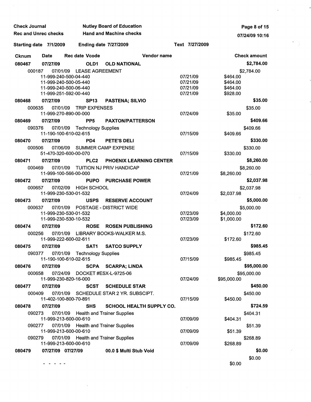| <b>Check Journal</b> |                             |                                               | <b>Nutley Board of Education</b>   | Page 8 of 15                    |                |             |                     |
|----------------------|-----------------------------|-----------------------------------------------|------------------------------------|---------------------------------|----------------|-------------|---------------------|
|                      | <b>Rec and Unrec checks</b> |                                               | <b>Hand and Machine checks</b>     |                                 |                |             | 07/24/09 10:16      |
|                      | Starting date 7/1/2009      |                                               | <b>Ending date 7/27/2009</b>       |                                 | Text 7/27/2009 |             |                     |
| Cknum                | <b>Date</b>                 | <b>Rec date Vcode</b>                         |                                    | Vendor name                     |                |             | <b>Check amount</b> |
| 080467               | 07/27/09                    | OLD1                                          | <b>OLD NATIONAL</b>                |                                 |                |             | \$2,784.00          |
|                      | 000187                      | 07/01/09<br><b>LEASE AGREEMENT</b>            |                                    |                                 |                |             | \$2,784.00          |
|                      |                             | 11-999-240-500-04-440                         |                                    |                                 | 07/21/09       | \$464.00    |                     |
|                      |                             | 11-999-240-500-05-440                         |                                    |                                 | 07/21/09       | \$464.00    |                     |
|                      |                             | 11-999-240-500-06-440                         |                                    |                                 | 07/21/09       | \$464.00    |                     |
|                      |                             | 11-999-251-592-00-440                         |                                    |                                 | 07/21/09       | \$928.00    |                     |
| 080468               | 07/27/09                    | SP <sub>13</sub>                              | <b>PASTENA; SILVIO</b>             |                                 |                |             | \$35.00             |
|                      | 000635<br>07/01/09          | <b>TRIP EXPENSES</b><br>11-999-270-890-00-000 |                                    |                                 | 07/24/09       | \$35.00     | \$35.00             |
| 080469               | 07/27/09                    | PP <sub>5</sub>                               | <b>PAXTON/PATTERSON</b>            |                                 |                |             | \$409.66            |
|                      | 07/01/09<br>090376          | <b>Technology Supplies</b>                    |                                    |                                 |                |             | \$409.66            |
|                      |                             | 11-190-100-610-02-615                         |                                    |                                 | 07/15/09       | \$409.66    |                     |
| 080470               | 07/27/09                    | PD4                                           | PETE'S DELI                        |                                 |                |             | \$330.00            |
|                      |                             | 07/06/09                                      |                                    |                                 |                |             |                     |
|                      | 000506                      | 51-470-320-600-00-070                         | <b>SUMMER CAMP EXPENSE</b>         |                                 | 07/15/09       | \$330.00    | \$330.00            |
| 080471               | 07/27/09                    | PLC <sub>2</sub>                              | <b>PHOENIX LEARNING CENTER</b>     |                                 |                |             | \$8,260.00          |
|                      |                             |                                               |                                    |                                 |                |             |                     |
|                      | 07/01/09<br>000469          | 11-999-100-566-00-000                         | TUITION NJ PRIV HANDICAP           |                                 | 07/21/09       | \$8,260.00  | \$8,260.00          |
| 080472               | 07/27/09                    | <b>PUPO</b>                                   | <b>PURCHASE POWER</b>              |                                 |                |             | \$2,037.98          |
|                      |                             |                                               |                                    |                                 |                |             |                     |
|                      | 07/02/09<br>000657          | HIGH SCHOOL<br>11-999-230-530-01-532          |                                    |                                 | 07/24/09       | \$2,037.98  | \$2,037.98          |
| 080473               | 07/27/09                    | <b>USPS</b>                                   | <b>RESERVE ACCOUNT</b>             |                                 |                |             | \$5,000.00          |
|                      | 000637<br>07/01/09          |                                               | <b>POSTAGE - DISTRICT WIDE</b>     |                                 |                |             | \$5,000.00          |
|                      |                             | 11-999-230-530-01-532                         |                                    |                                 | 07/23/09       | \$4,000.00  |                     |
|                      |                             | 11-999-230-530-10-532                         |                                    |                                 | 07/23/09       | \$1,000.00  |                     |
| 080474               | 07/27/09                    | <b>ROSE</b>                                   | <b>ROSEN PUBLISHING</b>            |                                 |                |             | \$172.60            |
|                      | 000256<br>07/01/09          | 11-999-222-600-02-611                         | LIBRARY BOOKS-WALKER M.S.          |                                 | 07/23/09       | \$172.60    | \$172.60            |
| 080475               | 07/27/09                    | SAT1                                          | <b>SATCO SUPPLY</b>                |                                 |                |             | \$985.45            |
|                      | 090377                      | 07/01/09 Technology Supplies                  |                                    |                                 |                |             | \$985.45            |
|                      |                             | 11-190-100-610-02-615                         |                                    |                                 | 07/15/09       | \$985.45    |                     |
| 080476               | 07/27/09                    | <b>SCPA</b>                                   | <b>SCARPA; LINDA</b>               |                                 |                |             | \$95,000.00         |
|                      | 000658<br>07/24/09          |                                               | DOCKET #ESX-L-9725-06              |                                 |                |             | \$95,000.00         |
|                      |                             | 11-999-230-820-16-000                         |                                    |                                 | 07/24/09       | \$95,000.00 |                     |
| 080477               | 07/27/09                    | <b>SCST</b>                                   | <b>SCHEDULE STAR</b>               |                                 |                |             | \$450.00            |
|                      | 000409                      | 07/01/09                                      | SCHEDULE STAR 2 YR. SUBSCIPT.      |                                 |                |             | \$450.00            |
|                      |                             | 11-402-100-800-70-891                         |                                    |                                 | 07/15/09       | \$450.00    |                     |
| 080478               | 07/27/09                    | <b>SHS</b>                                    |                                    | <b>SCHOOL HEALTH SUPPLY CO.</b> |                |             | \$724.59            |
|                      | 090273<br>07/01/09          |                                               | <b>Health and Trainer Supplies</b> |                                 |                |             | \$404.31            |
|                      |                             | 11-999-213-600-00-610                         |                                    |                                 | 07/09/09       | \$404.31    |                     |
|                      | 090277<br>07/01/09          |                                               | <b>Health and Trainer Supplies</b> |                                 |                |             | \$51.39             |
|                      |                             | 11-999-213-600-00-610                         |                                    |                                 | 07/09/09       | \$51.39     |                     |
|                      | 07/01/09<br>090279          |                                               | <b>Health and Trainer Supplies</b> |                                 |                |             | \$268.89            |
|                      |                             | 11-999-213-600-00-610                         |                                    |                                 | 07/09/09       | \$268.89    |                     |
| 080479               |                             | 07/27/09 07/27/09                             | 00.0 \$ Multi Stub Void            |                                 |                |             | \$0.00              |
|                      |                             |                                               |                                    |                                 |                |             | \$0.00              |
|                      | - - - - -                   |                                               |                                    |                                 |                | \$0.00      |                     |

 $\bar{z}$ 

J

à.

 $\mathcal{L}$ 

 $\bar{t}$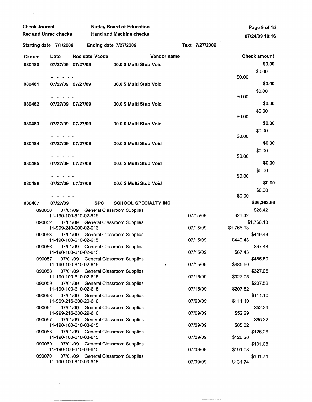| <b>Check Journal</b>        |                   |                       | <b>Nutley Board of Education</b> |                                     |             |  |                |            | Page 9 of 15        |  |
|-----------------------------|-------------------|-----------------------|----------------------------------|-------------------------------------|-------------|--|----------------|------------|---------------------|--|
| <b>Rec and Unrec checks</b> |                   |                       |                                  | <b>Hand and Machine checks</b>      |             |  |                |            | 07/24/09 10:16      |  |
| Starting date 7/1/2009      |                   |                       |                                  | <b>Ending date 7/27/2009</b>        |             |  | Text 7/27/2009 |            |                     |  |
| <b>Cknum</b>                | Date              | <b>Rec date Vcode</b> |                                  |                                     | Vendor name |  |                |            | <b>Check amount</b> |  |
| 080480                      | 07/27/09 07/27/09 |                       |                                  | 00.0 \$ Multi Stub Void             |             |  |                |            | \$0.00              |  |
|                             |                   |                       |                                  |                                     |             |  |                | \$0.00     | \$0.00              |  |
| 080481                      | 07/27/09 07/27/09 |                       |                                  | 00.0 \$ Multi Stub Void             |             |  |                |            | \$0.00              |  |
|                             |                   |                       |                                  |                                     |             |  |                |            | \$0.00              |  |
| 080482                      | 07/27/09 07/27/09 |                       |                                  | 00.0 \$ Multi Stub Void             |             |  |                | \$0.00     | \$0.00              |  |
|                             |                   |                       |                                  |                                     |             |  |                |            | \$0.00              |  |
|                             |                   |                       |                                  |                                     |             |  |                | \$0.00     |                     |  |
| 080483                      | 07/27/09 07/27/09 |                       |                                  | 00.0 \$ Multi Stub Void             |             |  |                |            | \$0.00              |  |
|                             |                   |                       |                                  |                                     |             |  |                | \$0.00     | \$0.00              |  |
| 080484                      | 07/27/09 07/27/09 |                       |                                  | 00.0 \$ Multi Stub Void             |             |  |                |            | \$0.00              |  |
|                             |                   |                       |                                  |                                     |             |  |                |            | \$0.00              |  |
|                             |                   |                       |                                  |                                     |             |  |                | \$0.00     |                     |  |
| 080485                      | 07/27/09 07/27/09 |                       |                                  | 00.0 \$ Multi Stub Void             |             |  |                |            | \$0.00              |  |
|                             |                   |                       |                                  |                                     |             |  |                | \$0.00     | \$0.00              |  |
| 080486                      | 07/27/09 07/27/09 |                       |                                  | 00.0 \$ Multi Stub Void             |             |  |                |            | \$0.00              |  |
|                             |                   |                       |                                  |                                     |             |  |                |            | \$0.00              |  |
|                             |                   |                       |                                  |                                     |             |  |                | \$0.00     |                     |  |
| 080487                      | 07/27/09          |                       | <b>SPC</b>                       | <b>SCHOOL SPECIALTY INC</b>         |             |  |                |            | \$26,363.66         |  |
| 090050                      | 07/01/09          | 11-190-100-610-02-615 |                                  | <b>General Classroom Supplies</b>   |             |  | 07/15/09       | \$26.42    | \$26.42             |  |
| 090052                      | 07/01/09          |                       |                                  | <b>General Classroom Supplies</b>   |             |  |                |            | \$1,766.13          |  |
|                             |                   | 11-999-240-600-02-616 |                                  |                                     |             |  | 07/15/09       | \$1,766.13 |                     |  |
| 090053                      | 07/01/09          | 11-190-100-610-02-615 |                                  | <b>General Classroom Supplies</b>   |             |  | 07/15/09       | \$449.43   | \$449.43            |  |
| 090056                      | 07/01/09          |                       |                                  | General Classroom Supplies          |             |  |                |            | \$67.43             |  |
|                             |                   | 11-190-100-610-02-615 |                                  |                                     |             |  | 07/15/09       | \$67.43    |                     |  |
| 090057                      | 07/01/09          | 11-190-100-610-02-615 |                                  | <b>General Classroom Supplies</b>   | ł           |  | 07/15/09       | \$485.50   | \$485.50            |  |
| 090058                      |                   |                       |                                  | 07/01/09 General Classroom Supplies |             |  |                |            | \$327.05            |  |
|                             |                   | 11-190-100-610-02-615 |                                  |                                     |             |  | 07/15/09       | \$327.05   |                     |  |
| 090059                      |                   | 11-190-100-610-02-615 |                                  | 07/01/09 General Classroom Supplies |             |  | 07/15/09       | \$207.52   | \$207.52            |  |
| 090063                      |                   |                       |                                  | 07/01/09 General Classroom Supplies |             |  |                |            | \$111.10            |  |
|                             |                   | 11-999-216-600-29-610 |                                  |                                     |             |  | 07/09/09       | \$111.10   |                     |  |
| 090064                      |                   | 11-999-216-600-29-610 |                                  | 07/01/09 General Classroom Supplies |             |  | 07/09/09       | \$52.29    | \$52.29             |  |
| 090067                      |                   |                       |                                  | 07/01/09 General Classroom Supplies |             |  |                |            | \$65.32             |  |
|                             |                   | 11-190-100-610-03-615 |                                  |                                     |             |  | 07/09/09       | \$65.32    |                     |  |
| 090068                      |                   | 11-190-100-610-03-615 |                                  | 07/01/09 General Classroom Supplies |             |  | 07/09/09       | \$126.26   | \$126.26            |  |
| 090069                      |                   |                       |                                  | 07/01/09 General Classroom Supplies |             |  |                |            | \$191.08            |  |
|                             |                   | 11-190-100-610-03-615 |                                  |                                     |             |  | 07/09/09       | \$191.08   |                     |  |
| 090070                      |                   | 11-190-100-610-03-615 |                                  | 07/01/09 General Classroom Supplies |             |  | 07/09/09       | \$131.74   | \$131.74            |  |

 $\mathbb{Z}^{\mathbb{Z}}$ 

 $\mathcal{L}(\mathcal{A})$  and  $\mathcal{L}(\mathcal{A})$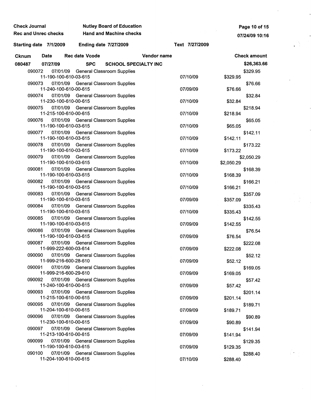| Check Journal               |                       |                | <b>Nutley Board of Education</b>                                           |             |                |            | Page 10 of 15        |  |
|-----------------------------|-----------------------|----------------|----------------------------------------------------------------------------|-------------|----------------|------------|----------------------|--|
| <b>Rec and Unrec checks</b> |                       |                | <b>Hand and Machine checks</b>                                             |             |                |            | 07/24/09 10:16       |  |
| Starting date 7/1/2009      |                       |                | <b>Ending date 7/27/2009</b>                                               |             | Text 7/27/2009 |            |                      |  |
| <b>Cknum</b>                | <b>Date</b>           | Rec date Vcode |                                                                            | Vendor name |                |            | <b>Check amount</b>  |  |
| 080487                      | 07/27/09              | <b>SPC</b>     | <b>SCHOOL SPECIALTY INC</b>                                                |             |                |            | \$26,363.66          |  |
| 090072                      | 11-190-100-610-03-615 |                | 07/01/09 General Classroom Supplies                                        |             | 07/10/09       | \$329.95   | \$329.95             |  |
| 090073                      | 11-240-100-610-00-615 |                | 07/01/09 General Classroom Supplies                                        |             | 07/09/09       | \$76.66    | \$76.66              |  |
| 090074                      | 11-230-100-610-00-615 |                | 07/01/09 General Classroom Supplies                                        |             | 07/10/09       | \$32.84    | \$32.84              |  |
| 090075                      | 11-215-100-610-00-615 |                | 07/01/09 General Classroom Supplies                                        |             | 07/10/09       | \$218.94   | \$218.94             |  |
| 090076                      | 11-190-100-610-03-615 |                | 07/01/09 General Classroom Supplies                                        |             | 07/10/09       | \$65.05    | \$65.05              |  |
| 090077                      | 11-190-100-610-03-615 |                | 07/01/09 General Classroom Supplies                                        |             | 07/10/09       | \$142.11   | \$142.11             |  |
| 090078                      | 11-190-100-610-03-615 |                | 07/01/09 General Classroom Supplies                                        |             | 07/10/09       | \$173.22   | \$173.22             |  |
| 090079                      | 11-190-100-610-03-615 |                | 07/01/09 General Classroom Supplies                                        |             | 07/10/09       | \$2,050.29 | \$2,050.29           |  |
| 090081                      | 11-190-100-610-03-615 |                | 07/01/09 General Classroom Supplies                                        |             | 07/10/09       | \$168.39   | \$168.39             |  |
| 090082                      | 11-190-100-610-03-615 |                | 07/01/09 General Classroom Supplies                                        |             | 07/10/09       | \$166.21   | \$166.21             |  |
| 090083                      | 11-190-100-610-03-615 |                | 07/01/09 General Classroom Supplies                                        |             | 07/09/09       | \$357.09   | \$357.09             |  |
| 090084                      | 11-190-100-610-03-615 |                | 07/01/09 General Classroom Supplies                                        |             | 07/10/09       | \$335.43   | \$335.43             |  |
| 090085                      | 11-190-100-610-03-615 |                | 07/01/09 General Classroom Supplies                                        |             | 07/09/09       | \$142.55   | \$142.55             |  |
|                             | 11-190-100-610-03-615 |                | 090086 07/01/09 General Classroom Supplies                                 |             | 07/09/09       | \$76.54    | \$76.54              |  |
| 090087                      | 11-999-222-600-03-614 |                | 07/01/09 General Classroom Supplies                                        |             | 07/09/09       | \$222.08   | \$222.08             |  |
| 090090                      | 11-999-216-600-28-610 |                | 07/01/09 General Classroom Supplies                                        |             | 07/09/09       | \$52.12    | \$52.12              |  |
| 090091<br>090092            | 11-999-216-600-29-610 |                | 07/01/09 General Classroom Supplies<br>07/01/09 General Classroom Supplies |             | 07/09/09       | \$169.05   | \$169.05             |  |
| 090093                      | 11-240-100-610-00-615 |                | 07/01/09 General Classroom Supplies                                        |             | 07/09/09       | \$57.42    | \$57.42              |  |
| 090095                      | 11-215-100-610-00-615 |                | 07/01/09 General Classroom Supplies                                        |             | 07/09/09       | \$201.14   | \$201.14<br>\$189.71 |  |
| 090096                      | 11-204-100-610-00-615 |                | 07/01/09 General Classroom Supplies                                        |             | 07/09/09       | \$189.71   | \$90.89              |  |
| 090097                      | 11-230-100-610-00-615 |                | 07/01/09 General Classroom Supplies                                        |             | 07/09/09       | \$90.89    | \$141.94             |  |
| 090099                      | 11-213-100-610-00-615 |                | 07/01/09 General Classroom Supplies                                        |             | 07/09/09       | \$141.94   | \$129.35             |  |
| 090100                      | 11-190-100-610-03-615 |                | 07/01/09 General Classroom Supplies                                        |             | 07/09/09       | \$129.35   | \$288.40             |  |
|                             | 11-204-100-610-00-615 |                |                                                                            |             | 07/10/09       | \$288.40   |                      |  |

 $\mathcal{L}_{\text{max}}$  and  $\mathcal{L}_{\text{max}}$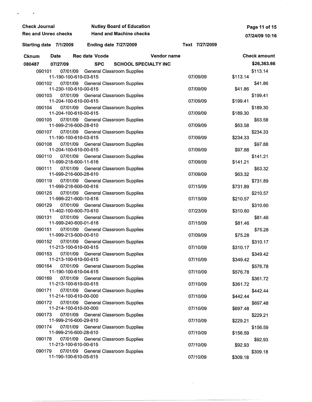| <b>Check Journal</b>        |                                   |                       | <b>Nutley Board of Education</b>    |             | Page 11 of 15  |                |                     |  |
|-----------------------------|-----------------------------------|-----------------------|-------------------------------------|-------------|----------------|----------------|---------------------|--|
| <b>Rec and Unrec checks</b> |                                   |                       | <b>Hand and Machine checks</b>      |             |                | 07/24/09 10:16 |                     |  |
| Starting date 7/1/2009      |                                   |                       | <b>Ending date 7/27/2009</b>        |             | Text 7/27/2009 |                |                     |  |
| <b>Cknum</b>                | <b>Date</b>                       | <b>Rec date Vcode</b> |                                     | Vendor name |                |                | <b>Check amount</b> |  |
| 080487                      | 07/27/09                          | <b>SPC</b>            | <b>SCHOOL SPECIALTY INC</b>         |             |                |                | \$26,363.66         |  |
| 090101                      | 11-190-100-610-03-615             |                       | 07/01/09 General Classroom Supplies |             | 07/09/09       | \$113.14       | \$113.14            |  |
| 090102                      | 11-230-100-610-00-615             |                       | 07/01/09 General Classroom Supplies |             | 07/09/09       | \$41.86        | \$41.86             |  |
| 090103                      | 11-204-100-610-00-615             |                       | 07/01/09 General Classroom Supplies |             | 07/09/09       | \$199.41       | \$199.41            |  |
| 090104                      | 11-204-100-610-00-615             |                       | 07/01/09 General Classroom Supplies |             | 07/09/09       | \$189.30       | \$189.30            |  |
| 090105                      | 11-999-216-600-28-610             |                       | 07/01/09 General Classroom Supplies |             | 07/09/09       | \$63.58        | \$63.58             |  |
| 090107                      | 11-190-100-610-03-615             |                       | 07/01/09 General Classroom Supplies |             | 07/09/09       | \$234.33       | \$234.33            |  |
| 090108                      | 11-204-100-610-00-615             |                       | 07/01/09 General Classroom Supplies |             | 07/09/09       | \$97.88        | \$97.88             |  |
| 090110                      | 11-999-218-600-11-616             |                       | 07/01/09 General Classroom Supplies |             | 07/09/09       | \$141.21       | \$141.21            |  |
| 090111                      | 11-999-216-600-28-610             |                       | 07/01/09 General Classroom Supplies |             | 07/09/09       | \$63.32        | \$63.32             |  |
| 090119                      | 11-999-218-600-00-616             |                       | 07/01/09 General Classroom Supplies |             | 07/15/09       | \$731.89       | \$731.89            |  |
| 090125                      | 07/01/09<br>11-999-221-600-10-616 |                       | <b>General Classroom Supplies</b>   |             | 07/15/09       | \$210.57       | \$210.57            |  |
| 090129                      | 07/01/09<br>11-402-100-600-70-610 |                       | <b>General Classroom Supplies</b>   |             | 07/23/09       | \$310.60       | \$310.60            |  |
| 090131                      | 07/01/09<br>11-999-240-600-01-616 |                       | <b>General Classroom Supplies</b>   |             | 07/15/09       | \$81.46        | \$81.46             |  |
| 090151                      | 07/01/09<br>11-999-213-600-00-610 |                       | <b>General Classroom Supplies</b>   |             | 07/09/09       | \$75.28        | \$75.28             |  |
| 090152                      | 11-213-100-610-00-615             |                       | 07/01/09 General Classroom Supplies |             | 07/10/09       | \$310.17       | \$310.17            |  |
| 090153                      | 11-213-100-610-00-615             |                       | 07/01/09 General Classroom Supplies |             | 07/10/09       | \$349.42       | \$349.42            |  |
| 090164                      | 11-190-100-610-04-615             |                       | 07/01/09 General Classroom Supplies |             | 07/10/09       | \$576.78       | \$576.78            |  |
| 090169                      | 11-213-100-610-00-615             |                       | 07/01/09 General Classroom Supplies |             | 07/10/09       | \$361.72       | \$361.72            |  |
| 090171                      | 11-214-100-610-00-000             |                       | 07/01/09 General Classroom Supplies |             | 07/10/09       | \$442.44       | \$442.44            |  |
| 090172                      | 11-214-100-610-00-000             |                       | 07/01/09 General Classroom Supplies |             | 07/10/09       | \$697.48       | \$697.48            |  |
| 090173                      | 11-999-216-600-29-610             |                       | 07/01/09 General Classroom Supplies |             | 07/10/09       | \$229.21       | \$229.21            |  |
| 090174                      | 11-999-216-600-28-610             |                       | 07/01/09 General Classroom Supplies |             | 07/10/09       | \$156.59       | \$156.59            |  |
| 090178                      | 11-213-100-610-00-615             |                       | 07/01/09 General Classroom Supplies |             | 07/10/09       | \$92.93        | \$92.93             |  |
| 090179                      | 11-190-100-610-05-615             |                       | 07/01/09 General Classroom Supplies |             | 07/10/09       | \$309.18       | \$309.18            |  |

 $\mathcal{L}^{\text{max}}_{\text{max}}$  ,  $\mathcal{L}^{\text{max}}_{\text{max}}$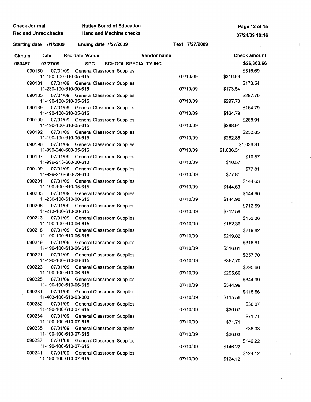| <b>Check Journal</b>        |                                   |                       | <b>Nutley Board of Education</b>                                           |             | Page 12 of 15  |            |                      |
|-----------------------------|-----------------------------------|-----------------------|----------------------------------------------------------------------------|-------------|----------------|------------|----------------------|
| <b>Rec and Unrec checks</b> |                                   |                       | <b>Hand and Machine checks</b>                                             |             |                |            | 07/24/09 10:16       |
| Starting date 7/1/2009      |                                   |                       | <b>Ending date 7/27/2009</b>                                               |             | Text 7/27/2009 |            |                      |
| <b>Cknum</b>                | <b>Date</b>                       | <b>Rec date Vcode</b> |                                                                            | Vendor name |                |            | <b>Check amount</b>  |
| 080487                      | 07/27/09                          | <b>SPC</b>            | <b>SCHOOL SPECIALTY INC</b>                                                |             |                |            | \$26,363.66          |
| 090180                      | 07/01/09<br>11-190-100-610-05-615 |                       | <b>General Classroom Supplies</b>                                          |             | 07/10/09       | \$316.69   | \$316.69             |
| 090181                      | 11-230-100-610-00-615             |                       | 07/01/09 General Classroom Supplies                                        |             | 07/10/09       | \$173.54   | \$173.54             |
| 090185                      | 11-190-100-610-05-615             |                       | 07/01/09 General Classroom Supplies                                        |             | 07/10/09       | \$297.70   | \$297.70             |
| 090189                      | 11-190-100-610-05-615             |                       | 07/01/09 General Classroom Supplies                                        |             | 07/10/09       | \$164.79   | \$164.79             |
| 090190                      | 11-190-100-610-05-615             |                       | 07/01/09 General Classroom Supplies                                        |             | 07/10/09       | \$288.91   | \$288.91             |
| 090192                      | 11-190-100-610-05-615             |                       | 07/01/09 General Classroom Supplies                                        |             | 07/10/09       | \$252.85   | \$252.85             |
| 090196                      | 11-999-240-600-05-616             |                       | 07/01/09 General Classroom Supplies                                        |             | 07/10/09       | \$1,036.31 | \$1,036.31           |
| 090197                      | 07/01/09<br>11-999-213-600-00-610 |                       | <b>General Classroom Supplies</b>                                          |             | 07/10/09       | \$10.57    | \$10.57              |
| 090199                      | 11-999-216-600-29-610             |                       | 07/01/09 General Classroom Supplies                                        |             | 07/10/09       | \$77.81    | \$77.81              |
| 090201                      | 11-190-100-610-05-615             |                       | 07/01/09 General Classroom Supplies                                        |             | 07/10/09       | \$144.63   | \$144.63             |
| 090203                      | 11-230-100-610-00-615             |                       | 07/01/09 General Classroom Supplies                                        |             | 07/10/09       | \$144.90   | \$144.90             |
| 090206                      | 11-213-100-610-00-615             |                       | 07/01/09 General Classroom Supplies                                        |             | 07/10/09       | \$712.59   | \$712.59             |
| 090213<br>090218            | 11-190-100-610-06-615             |                       | 07/01/09 General Classroom Supplies                                        |             | 07/10/09       | \$152.36   | \$152.36             |
|                             | 11-190-100-610-06-615             |                       | 07/01/09 General Classroom Supplies                                        |             | 07/10/09       | \$219.82   | \$219.82             |
| 090219<br>090221            | 11-190-100-610-06-615             |                       | 07/01/09 General Classroom Supplies<br>07/01/09 General Classroom Supplies |             | 07/10/09       | \$316.61   | \$316.61             |
| 090223                      | 11-190-100-610-06-615             |                       | 07/01/09 General Classroom Supplies                                        |             | 07/10/09       | \$357.70   | \$357.70             |
| 090225                      | 11-190-100-610-06-615             |                       | 07/01/09 General Classroom Supplies                                        |             | 07/10/09       | \$295.66   | \$295.66<br>\$344.99 |
| 090231                      | 11-190-100-610-06-615             |                       | 07/01/09 General Classroom Supplies                                        |             | 07/10/09       | \$344.99   | \$115.56             |
| 090232                      | 11-403-100-610-03-000             |                       | 07/01/09 General Classroom Supplies                                        |             | 07/10/09       | \$115.56   | \$30.07              |
| 090234                      | 11-190-100-610-07-615             |                       | 07/01/09 General Classroom Supplies                                        |             | 07/10/09       | \$30.07    | \$71.71              |
| 090235                      | 11-190-100-610-07-615             |                       | 07/01/09 General Classroom Supplies                                        |             | 07/10/09       | \$71.71    | \$36.03              |
| 090237                      | 11-190-100-610-07-615             |                       | 07/01/09 General Classroom Supplies                                        |             | 07/10/09       | \$36.03    | \$146.22             |
| 090241                      | 11-190-100-610-07-615             |                       | 07/01/09 General Classroom Supplies                                        |             | 07/10/09       | \$146.22   | \$124.12             |
|                             | 11-190-100-610-07-615             |                       |                                                                            |             | 07/10/09       | \$124.12   |                      |

 $\mathcal{A}^{\mathcal{A}}$ 

 $\begin{split} \frac{1}{\sqrt{2\pi}}\frac{1}{\sqrt{2\pi}}\frac{N_{\rm{max}}}{\sqrt{2\pi}}\frac{N_{\rm{max}}}{\sqrt{2\pi}} \end{split}$ 

 $\label{eq:2} \frac{1}{\sqrt{2}}\left(\frac{1}{\sqrt{2}}\right)^{1/2} \frac{1}{\sqrt{2}}\left(\frac{1}{\sqrt{2}}\right)^{1/2}$ 

 $\mathcal{A}_{\mu\nu}$  .

 $\frac{1}{2}$  )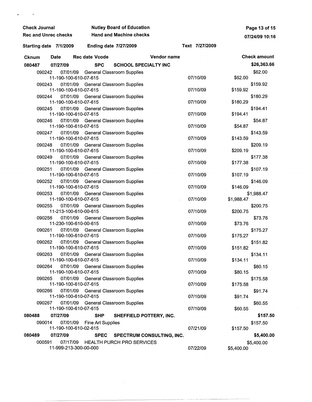| <b>Check Journal</b>        |                                   |                                                                            | <b>Nutley Board of Education</b>   |                    |                |            | Page 13 of 15       |  |  |
|-----------------------------|-----------------------------------|----------------------------------------------------------------------------|------------------------------------|--------------------|----------------|------------|---------------------|--|--|
| <b>Rec and Unrec checks</b> |                                   |                                                                            | <b>Hand and Machine checks</b>     |                    |                |            | 07/24/09 10:16      |  |  |
| Starting date 7/1/2009      |                                   |                                                                            | <b>Ending date 7/27/2009</b>       |                    | Text 7/27/2009 |            |                     |  |  |
| <b>Cknum</b>                | <b>Date</b>                       | <b>Rec date Vcode</b>                                                      |                                    | <b>Vendor name</b> |                |            | <b>Check amount</b> |  |  |
| 080487                      | 07/27/09                          | <b>SPC</b>                                                                 | <b>SCHOOL SPECIALTY INC</b>        |                    |                |            | \$26,363.66         |  |  |
| 090242                      | 07/01/09                          |                                                                            | <b>General Classroom Supplies</b>  |                    |                |            | \$62.00             |  |  |
|                             | 11-190-100-610-07-615             |                                                                            |                                    |                    | 07/10/09       | \$62.00    |                     |  |  |
| 090243                      | 07/01/09<br>11-190-100-610-07-615 |                                                                            | <b>General Classroom Supplies</b>  |                    | 07/10/09       | \$159.92   | \$159.92            |  |  |
| 090244                      | 07/01/09<br>11-190-100-610-07-615 |                                                                            | <b>General Classroom Supplies</b>  |                    | 07/10/09       | \$180.29   | \$180.29            |  |  |
| 090245                      | 07/01/09<br>11-190-100-610-07-615 |                                                                            | <b>General Classroom Supplies</b>  |                    | 07/10/09       | \$194.41   | \$194.41            |  |  |
| 090246                      | 07/01/09<br>11-190-100-610-07-615 |                                                                            | <b>General Classroom Supplies</b>  |                    | 07/10/09       | \$54.87    | \$54.87             |  |  |
| 090247                      | 07/01/09<br>11-190-100-610-07-615 |                                                                            | <b>General Classroom Supplies</b>  |                    | 07/10/09       | \$143.59   | \$143.59            |  |  |
| 090248                      | 07/01/09<br>11-190-100-610-07-615 |                                                                            | <b>General Classroom Supplies</b>  |                    | 07/10/09       | \$209.19   | \$209.19            |  |  |
| 090249                      | 07/01/09<br>11-190-100-610-07-615 |                                                                            | <b>General Classroom Supplies</b>  |                    | 07/10/09       | \$177.38   | \$177.38            |  |  |
| 090251                      | 07/01/09<br>11-190-100-610-07-615 |                                                                            | <b>General Classroom Supplies</b>  |                    | 07/10/09       | \$107.19   | \$107.19            |  |  |
| 090252                      | 07/01/09<br>11-190-100-610-07-615 |                                                                            | <b>General Classroom Supplies</b>  |                    | 07/10/09       | \$146.09   | \$146.09            |  |  |
| 090253                      | 07/01/09<br>11-190-100-610-07-615 |                                                                            | <b>General Classroom Supplies</b>  |                    | 07/10/09       | \$1,988.47 | \$1,988.47          |  |  |
| 090255                      | 07/01/09<br>11-213-100-610-00-615 |                                                                            | <b>General Classroom Supplies</b>  |                    | 07/10/09       | \$200.75   | \$200.75            |  |  |
| 090256                      | 07/01/09<br>11-230-100-610-00-615 |                                                                            | <b>General Classroom Supplies</b>  |                    | 07/10/09       | \$73.76    | \$73.76             |  |  |
| 090261                      | 07/01/09<br>11-190-100-610-07-615 |                                                                            | <b>General Classroom Supplies</b>  |                    | 07/10/09       | \$175.27   | \$175.27            |  |  |
| 090262                      | 07/01/09<br>11-190-100-610-07-615 |                                                                            | <b>General Classroom Supplies</b>  |                    | 07/10/09       | \$151.82   | \$151.82            |  |  |
| 090263<br>090264            | 11-190-100-610-07-615             | 07/01/09 General Classroom Supplies<br>07/01/09 General Classroom Supplies |                                    |                    | 07/10/09       | \$134.11   | \$134.11            |  |  |
| 090265                      | 11-190-100-610-07-615             | 07/01/09 General Classroom Supplies                                        |                                    |                    | 07/10/09       | \$80.15    | \$80.15<br>\$175.58 |  |  |
| 090266                      | 11-190-100-610-07-615             | 07/01/09 General Classroom Supplies                                        |                                    |                    | 07/10/09       | \$175.58   | \$91.74             |  |  |
| 090267                      | 11-190-100-610-07-615             | 07/01/09 General Classroom Supplies                                        |                                    |                    | 07/10/09       | \$91.74    | \$60.55             |  |  |
|                             | 11-190-100-610-07-615             |                                                                            |                                    |                    | 07/10/09       | \$60.55    |                     |  |  |
| 080488                      | 07/27/09                          | <b>SHP</b>                                                                 | SHEFFIELD POTTERY, INC.            |                    |                |            | \$157.50            |  |  |
| 090014                      | 07/01/09<br>11-190-100-610-02-615 | Fine Art Supplies                                                          |                                    |                    | 07/21/09       | \$157.50   | \$157.50            |  |  |
| 080489                      | 07/27/09                          | <b>SPEC</b>                                                                | SPECTRUM CONSULTING, INC.          |                    |                |            | \$5,400.00          |  |  |
| 000591                      | 11-999-213-300-00-000             |                                                                            | 07/17/09 HEALTH PURCH PRO SERVICES |                    | 07/22/09       | \$5,400.00 | \$5,400.00          |  |  |

 $\frac{1}{2} \frac{1}{2} \frac{1}{2} \frac{1}{2} \frac{1}{2} \frac{1}{2}$ 

 $\overline{a}$ 

 $\tilde{\phantom{a}}$ 

--------~------------ - -----------~-

 $\label{eq:2} \frac{1}{\sqrt{2}}\left(\frac{1}{\sqrt{2}}\right)^{2} \left(\frac{1}{\sqrt{2}}\right)^{2} \left(\frac{1}{\sqrt{2}}\right)^{2} \left(\frac{1}{\sqrt{2}}\right)^{2} \left(\frac{1}{\sqrt{2}}\right)^{2} \left(\frac{1}{\sqrt{2}}\right)^{2} \left(\frac{1}{\sqrt{2}}\right)^{2} \left(\frac{1}{\sqrt{2}}\right)^{2} \left(\frac{1}{\sqrt{2}}\right)^{2} \left(\frac{1}{\sqrt{2}}\right)^{2} \left(\frac{1}{\sqrt{2}}\right)^{2} \left(\frac{$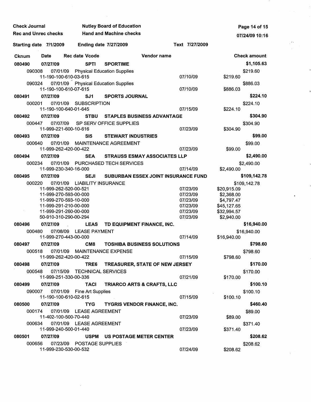| <b>Check Journal</b>        |        |                                                | <b>Nutley Board of Education</b> |                            |                                      |                                       |                      | Page 14 of 15              |                     |
|-----------------------------|--------|------------------------------------------------|----------------------------------|----------------------------|--------------------------------------|---------------------------------------|----------------------|----------------------------|---------------------|
| <b>Rec and Unrec checks</b> |        | <b>Hand and Machine checks</b>                 |                                  |                            | 07/24/09 10:16                       |                                       |                      |                            |                     |
| Starting date 7/1/2009      |        | <b>Ending date 7/27/2009</b>                   |                                  |                            | Text 7/27/2009                       |                                       |                      |                            |                     |
| Cknum                       |        | Date                                           |                                  | <b>Rec date Vcode</b>      |                                      | Vendor name                           |                      |                            | <b>Check amount</b> |
| 080490                      |        | 07/27/09                                       |                                  | <b>SPTI</b>                | <b>SPORTIME</b>                      |                                       |                      |                            | \$1,105.63          |
|                             | 090308 |                                                |                                  |                            | 07/01/09 Physical Education Supplies |                                       |                      |                            | \$219.60            |
|                             |        | 11-190-100-610-03-615                          |                                  |                            |                                      |                                       | 07/10/09             | \$219.60                   |                     |
|                             | 090324 | 11-190-100-610-07-615                          |                                  |                            | 07/01/09 Physical Education Supplies |                                       | 07/10/09             | \$886.03                   | \$886.03            |
| 080491                      |        | 07/27/09                                       |                                  | SJ1                        | <b>SPORTS JOURNAL</b>                |                                       |                      |                            | \$224.10            |
|                             | 000201 | 07/01/09                                       |                                  | <b>SUBSCRIPTION</b>        |                                      |                                       |                      |                            | \$224.10            |
| 080492                      |        | 11-190-100-640-01-645<br>07/27/09              |                                  | <b>STBU</b>                |                                      | <b>STAPLES BUSINESS ADVANTAGE</b>     | 07/15/09             | \$224.10                   | \$304.90            |
|                             | 000447 | 07/07/09                                       |                                  |                            | SP SERV OFFICE SUPPLIES              |                                       |                      |                            | \$304.90            |
|                             |        | 11-999-221-600-10-616                          |                                  |                            |                                      |                                       | 07/23/09             | \$304.90                   |                     |
| 080493                      |        | 07/27/09                                       |                                  | SI <sub>5</sub>            | <b>STEWART INDUSTRIES</b>            |                                       |                      |                            | \$99.00             |
|                             | 000640 | 07/01/09                                       |                                  |                            | <b>MAINTENANCE AGREEMENT</b>         |                                       |                      |                            | \$99.00             |
|                             |        | 11-999-262-420-00-422                          |                                  |                            |                                      |                                       | 07/23/09             | \$99.00                    |                     |
| 080494                      |        | 07/27/09                                       |                                  | <b>SEA</b>                 |                                      | <b>STRAUSS ESMAY ASSOCIATES LLP</b>   |                      |                            | \$2,490.00          |
|                             | 000234 | 07/01/09<br>11-999-230-340-16-000              |                                  |                            | PURCHASED TECH SERVICES              |                                       | 07/14/09             |                            | \$2,490.00          |
| 080495                      |        | 07/27/09                                       |                                  | <b>SEJI</b>                |                                      | SUBURBAN ESSEX JOINT INSURANCE FUND   |                      | \$2,490.00                 | \$109,142.78        |
|                             | 000220 |                                                |                                  |                            | 07/01/09 LIABILITY INSURANCE         |                                       |                      |                            | \$109,142.78        |
|                             |        | 11-999-262-520-00-521                          |                                  |                            |                                      |                                       | 07/23/09             | \$20,915.09                |                     |
|                             |        | 11-999-270-593-00-000                          |                                  |                            |                                      |                                       | 07/23/09             | \$2,368.00                 |                     |
|                             |        | 11-999-270-593-10-000                          |                                  |                            |                                      |                                       | 07/23/09             | \$4,797.47                 |                     |
|                             |        | 11-999-291-210-00-000<br>11-999-291-260-00-000 |                                  |                            |                                      |                                       | 07/23/09<br>07/23/09 | \$45,127.65<br>\$32,994.57 |                     |
|                             |        | 50-910-310-290-00-294                          |                                  |                            |                                      |                                       | 07/23/09             | \$2,940.00                 |                     |
| 080496                      |        | 07/27/09                                       |                                  | <b>LEAS</b>                |                                      | TD EQUIPMENT FINANCE, INC.            |                      |                            | \$16,940.00         |
|                             | 000480 | 07/08/09                                       |                                  | <b>LEASE PAYMENT</b>       |                                      |                                       |                      |                            | \$16,940.00         |
|                             |        | 11-999-270-443-00-000                          |                                  |                            |                                      |                                       | 07/14/09             | \$16,940.00                |                     |
| 080497                      |        | 07/27/09                                       |                                  | CM8                        |                                      | <b>TOSHIBA BUSINESS SOLUTIONS</b>     |                      |                            | \$798.60            |
|                             |        |                                                |                                  |                            | 000518 07/01/09 MAINTENANCE EXPENSE  |                                       |                      |                            | \$798.60            |
| 080498                      |        | 11-999-262-420-00-422<br>07/27/09              |                                  | TRE6                       |                                      | <b>TREASURER, STATE OF NEW JERSEY</b> | 07/15/09             | \$798.60                   | \$170.00            |
|                             | 000548 |                                                |                                  |                            | 07/15/09 TECHNICAL SERVICES          |                                       |                      |                            | \$170.00            |
|                             |        | 11-999-251-330-00-336                          |                                  |                            |                                      |                                       | 07/21/09             | \$170.00                   |                     |
| 080499                      |        | 07/27/09                                       |                                  | <b>TACI</b>                |                                      | <b>TRIARCO ARTS &amp; CRAFTS, LLC</b> |                      |                            | \$100.10            |
|                             | 090007 |                                                |                                  | 07/01/09 Fine Art Supplies |                                      |                                       |                      |                            | \$100.10            |
|                             |        | 11-190-100-610-02-615                          |                                  |                            |                                      |                                       | 07/15/09             | \$100.10                   |                     |
| 080500                      |        | 07/27/09                                       |                                  | <b>TYG</b>                 |                                      | <b>TYGRIS VENDOR FINANCE, INC.</b>    |                      |                            | \$460.40            |
|                             | 000174 | 11-402-100-500-70-440                          |                                  | 07/01/09 LEASE AGREEMENT   |                                      |                                       | 07/23/09             | \$89.00                    | \$89.00             |
|                             | 000634 |                                                |                                  | 07/01/09 LEASE AGREEMENT   |                                      |                                       |                      |                            | \$371.40            |
|                             |        | 11-999-240-500-01-440                          |                                  |                            |                                      |                                       | 07/23/09             | \$371.40                   |                     |
| 080501                      |        | 07/27/09                                       |                                  |                            |                                      | USPM US POSTAGE METER CENTER          |                      |                            | \$208.62            |
|                             | 000656 |                                                |                                  | 07/23/09 POSTAGE SUPPLIES  |                                      |                                       |                      |                            | \$208.62            |
|                             |        | 11-999-230-530-00-532                          |                                  |                            |                                      |                                       | 07/24/09             | \$208.62                   |                     |

 $\begin{array}{c} \begin{array}{c} \begin{array}{c} \end{array} \\ \begin{array}{c} \end{array} \end{array} \end{array}$ 

 $\frac{2\pi}{\sqrt{2}}\frac{1}{\sqrt{2}}\left(\frac{1}{\sqrt{2}}\right)$ 

 $\ddot{\phantom{1}}$ 

 $\int_0^T \frac{d\mu}{\mu}$ 

 $\label{eq:2} \frac{1}{\sqrt{2}}\int_{0}^{\infty}\frac{1}{\sqrt{2\pi}}\left(\frac{1}{\sqrt{2\pi}}\right)^{2}d\mu$ 

 $\ddot{\phantom{a}}$ 

 $\mathcal{L}^{\text{max}}_{\text{max}}$